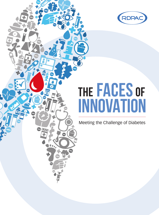

# **the Faces of Innovation**

Meeting the Challenge of Diabetes

DTT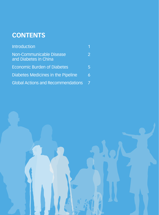# **Contents**

| <b>Introduction</b>                               |               |
|---------------------------------------------------|---------------|
| Non-Communicable Disease<br>and Diabetes in China | $\mathcal{P}$ |
| <b>Economic Burden of Diabetes</b>                | Ы             |
| Diabetes Medicines in the Pipeline                | 6             |
| <b>Global Actions and Recommendations</b>         |               |

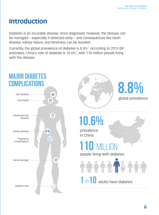# **Introduction**

Diabetes is an incurable disease. Once diagnosed, however, the disease can be managed – especially if detected early – and consequences like heart disease, kidney failure, and blindness can be avoided.

Currently, the global prevalence of diabetes is  $8.8\%$ <sup>1</sup>. According to 2015 IDF estimates, China's rate of diabetes is  $10.6\%$ <sup>1</sup>, with 110 million people living with the disease.

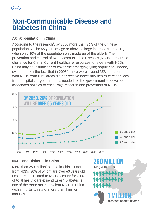

## **Non-Communicable Disease and Diabetes in China**

## **Aging population in China**

According to the research<sup>2</sup>, by 2050 more than 26% of the Chinese population will be 65 years of age or above, a large increase from 2015, when only 10% of the population was made up of the elderly. The prevention and control of Non-Communicable Diseases (NCDs) presents a challenge for China. Current healthcare resources for elders with NCDs in China may be insufficient to cover the emerging aging population. Indeed, evidents from the fact that in 2008 $^3$ , there were around 35% of patients with NCDs from rural areas did not receive necessary health-care services from hospitals. Urgent action is needed for the government to develop associated policies to encourage research and prevention of NCDs.



## **NCDs and Diabetes in China**

More than 260 million<sup>5</sup> people in China suffer from NCDs, 80% of whom are over 60 years old. Expenditures related to NCDs account for 70% of total health-care expenditures<sup>5</sup>. Diabetes is one of the three most prevalent NCDs in China, with a mortality rate of more than 1 million annually.<sup>1</sup>

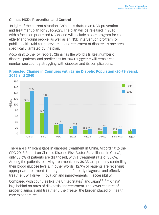#### **China's NCDs Prevention and Control**

 In light of the current situation, China has drafted an NCD prevention and treatment plan for 2016-2025. The plan will be released in 2016 with a focus on prioritized NCDs, and will include a pilot program for the elderly and young people, as well as an NCD intervention program for public health. Mid-term prevention and treatment of diabetes is one area specifically targeted by the plan.

According to the IDF report<sup>1</sup>, China has the world's largest number of diabetes patients, and predictions for 2040 suggest it will remain the number one country struggling with diabetes and its complications.



## **Projected Change in Countries with Large Diabetic Population (20-79 years), 2015 and 2040**

There are significant gaps in diabetes treatment in China. According to the CDC 2013 Report on Chronic Disease Risk Factor Surveillance in China<sup>4</sup>, only 38.6% of patients are diagnosed, with a treatment rate of 35.6%. Among the patients receiving treatment, only 36.3% are properly controlling their blood glucose levels. In other words, 12.9% of patients are receiving appropriate treatment. The urgent need for early diagnosis and effective treatment will drive innovation and improvements in accessibility.

Compared with countries like the United States $6$ , and Japan $1, 7, 13, 14$ , China $4$ lags behind on rates of diagnosis and treatment. The lower the rate of proper diagnosis and treatment, the greater the burden placed on health care expenditures.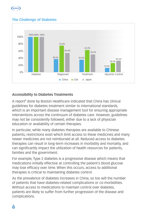

## **The Challenge of Diabetes**



#### **Accessibility to Diabetes Treatments**

A report<sup>8</sup> done by Boston Healthcare indicated that China has clinical guidelines for diabetes treatment similar to international standards, which is an important disease management tool for ensuring appropriate interventions across the continuum of diabetes care. However, guidelines may not be consistently followed, either due to a lack of physician education or availability of certain therapies.

In particular, while many diabetes therapies are available to Chinese patients, restrictions exist which limit access to these medicines and many newer medicines are not reimbursed at all. Reduced access to diabetes therapies can result in long-term increases in morbidity and mortality, and can significantly impact the utilization of health resources for patients, families and the government.

For example, Type 2 diabetes is a progressive disease which means that medications initially effective at controlling the patient's blood glucose may lose efficacy over time. When this occurs, access to additional therapies is critical to maintaining diabetes control.

As the prevalence of diabetes increases in China, so too will the number of patients that have diabetes-related complications or co-morbidities. Without access to medications to maintain control over diabetes. patients are likely to suffer from further progression of the disease and complications.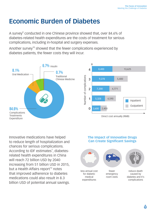# **Economic Burden of Diabetes**

A survey<sup>9</sup> conducted in one Chinese province showed that, over 84.6% of diabetes-related health expenditures are the costs of treatment for serious complications, including in-hospital and surgery expenses.

Another survey<sup>10</sup> showed that the fewer complications experienced by diabetes patients, the fewer costs they will incur.



Innovative medications have helped to reduce length of hospitalization and chances for serious complications. According to IDF estimates<sup>1</sup>, diabetesrelated health expenditures in China will reach 72 billion USD by 2040 increasing from 51 billion USD in 2015, but a Health Affairs report<sup>12</sup> notes that improved adherence to diabetes medications could also result in 8.3 billion USD of potential annual savings.

#### **The Impact of Innovative Drugs Can Create Significant Savings**

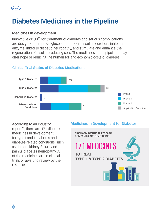

# **Diabetes Medicines in the Pipeline**

#### **Medicines in development**

Innovative drugs<sup>11</sup> for treatment of diabetes and serious complications are designed to improve glucose-dependent insulin secretion, inhibit an enzyme linked to diabetic neuropathy, and stimulate and enhance the regeneration of insulin-producing cells. The medicines in the pipeline today offer hope of reducing the human toll and economic costs of diabetes.



#### **Clinical Trial Status of Diabetes Medications**

According to an industry report<sup>11</sup>, there are 171 diabetes medicines in development for type I and II diabetes and diabetes-related conditions, such as chronic kidney failure and painful diabetes neuropathy. All of the medicines are in clinical trials or awaiting review by the U.S. FDA.

#### **Medicines in Development for Diabetes**

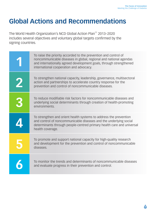# **Global Actions and Recommendations**

The World Health Organization's NCD Global Action Plan<sup>11</sup> 2013–2020 includes several objectives and voluntary global targets confirmed by the signing countries.

| To raise the priority accorded to the prevention and control of<br>noncommunicable diseases in global, regional and national agendas<br>and internationally agreed development goals, through strengthened<br>international cooperation and advocacy. |
|-------------------------------------------------------------------------------------------------------------------------------------------------------------------------------------------------------------------------------------------------------|
| To strengthen national capacity, leadership, governance, multisectoral<br>action and partnerships to accelerate country response for the<br>prevention and control of noncommunicable diseases.                                                       |
| To reduce modifiable risk factors for noncommunicable diseases and<br>underlying social determinants through creation of health-promoting<br>environments.                                                                                            |
| To strengthen and orient health systems to address the prevention<br>and control of noncommunicable diseases and the underlying social<br>determinants through people-centred primary health care and universal<br>health coverage.                   |
| To promote and support national capacity for high-quality research<br>and development for the prevention and control of noncommunicable<br>diseases.                                                                                                  |
| To monitor the trends and determinants of noncommunicable diseases<br>and evaluate progress in their prevention and control.                                                                                                                          |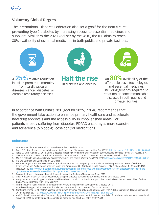

#### **Voluntary Global Targets**

The International Diabetes Federation also set a goal<sup>1</sup> for the near future: preventing type 2 diabetes by increasing access to essential medicines and suppliers. Similar to the 2020 goal set by the WHO, the IDF aims to reach 80% availability of essential medicines in both public and private facilities.



A 25% relative reduction in risk of premature mortality from cardiovascular diseases, cancer, diabetes, or chronic respiratory diseases.



in diabetes and obesity.



Halt the rise An 80% availability of the affordable basic technologies and essential medicines, including generics, required to treat major noncommunicable diseases in both public and private facilities.

In accordance with China's NCD goal for 2025, RDPAC recommends that the government take action to enhance primary healthcare and accelerate new drug approvals and the accessibility in impoverished areas. For patients already suffering from diabetes, RDPAC encourages more exercise and adherence to blood-glucose control medications.

#### **Reference**

- 1. International Diabetes Federation: IDF Diabetes Atlas 7th edition 2015
- 2. Fang, E.F., et al., A research agenda for aging in China in the 21st century. Ageing Res. Rev. (2015), http://dx.doi.org/10.1016/j.arr.2015.08.003
- 3. Tang, S., Ehiri, J., Long, Q., 2013. China's biggest, most neglected health challenge: non-communicable diseases. Infect. Dis. Poverty 2, 7.
- 4. China Center for Disease Control and Prevention: 2013 Report on Chronic Disease Risk Factor Surveillance in China
- 5. Ministry of Health and others: Chronic Diseases Prevention and Control Working Plan (2012-2015) http://www.sda.gov.cn/WS01/CL0852/73135.html 6. IHS Life Sciences analysis based on CDC data
- 7. Bos AJG, Jorge LB, Navarro JHN, Gerlack LF, Rocha JP, et al. (2015) Comparing the Prevalence and Drug Treatment Rates of Diabetes, Hypertension and Dyslipidemia between Japan and Brazil, using 2013 National Health Surveys. J Clin Diabetes Pract 1:103. doi:10.4172/ jcdp.1000103 http://www.omicsgroup.org/journals/comparing-the-prevalence-and-drug-treatment-rates-of-diabeteshypertension-anddyslipidemia-between-japan-and-brazil-using-2013nati-JCDP-1000103.pdf
- 8. Boston Healthcare: Improving Patient Access to Innovative Diabetes Therapies in China 2015
- 9. Chen Xingbao. Impact on health expenditure of Type II diabetes complications, Chinese Journal of Diabetes, 2003
- 10. Wang WB.,et al. How do type 2 diabetes mellitus-related chronic complications impact direct medical cost in four major cities of urban China? Value in Health, 2009; 12(6) 923-929
- 11. Pharmaceutical Research and Manufacturers of Amercia: Medicines in Development, Diabetes, 2016
- 12. World Health Organization: Global Action Plan for the Prevention and Control of NCDs 2013-2020
- 13. Nur Sufiza Ahmad, et al, Factors associated with good glycemic control among patients with type 2 diabetes mellitus, J Diabetes Investig. 2014 Sep; 5(5): 563–569. https://www.ncbi.nlm.nih.gov/pmc/articles/PMC4188115/#jdi12175-bib-0008
- 14. Arai K, Hirao K, Matsuba I, et al The status of glycemic control by general practitioners and specialists for diabetes in Japan: a cross-sectional survey of 15652 patients with diabetes mellitus. Diabetes Res Clin Pract 2009; 83: 397-401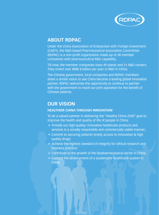

## **About RDPAC**

Under the China Association of Enterprises with Foreign Investment (CAEFI), the R&D-based Pharmaceutical Association Committee (RDPAC) is a non-profit organization made up of 38 member companies with pharmaceutical R&D capability.

Till now, the member companies have 49 plants and 31 R&D centers. They invest over RMB 8 billion per year in R&D in China.

The Chinese government, local companies and RDPAC members share a similar vision to see China become a leading global innovation partner. RDPAC welcomes the opportunity to continue to partner with the government to reach our joint aspiration for the benefit of Chinese patients.

## **Our Vision**

#### **HEALTHIER CHINA THROUGH INNOVATION**

To be a valued partner in delivering the "Healthy China 2030" goal to improve the health and quality of life of people in China:

- Provide our high-quality/ innovative healthcare products and services in a socially responsible and commercially viable manner;
- Commit to securing patients timely access to innovative & high quality drugs;
- Achieve the highest standard of integrity for ethical research and business practice;
- Contribute to the growth of the biopharmaceutical sector in China;
- Support the development of a sustainable healthcare system in China.